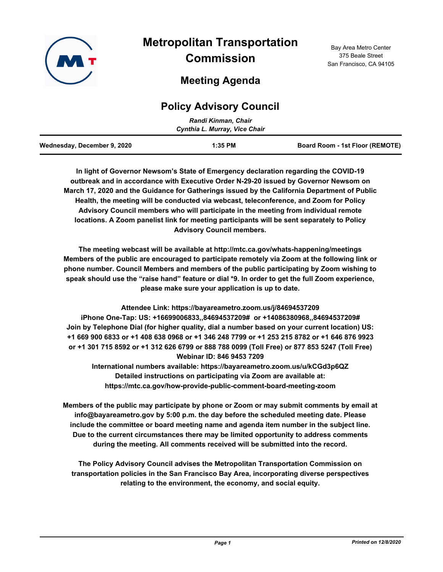

# **Metropolitan Transportation Commission**

## **Meeting Agenda**

### **Policy Advisory Council**

|                             | Randi Kinman, Chair           |                                 |
|-----------------------------|-------------------------------|---------------------------------|
|                             | Cynthia L. Murray, Vice Chair |                                 |
| Wednesday, December 9, 2020 | $1:35$ PM                     | Board Room - 1st Floor (REMOTE) |

**In light of Governor Newsom's State of Emergency declaration regarding the COVID-19 outbreak and in accordance with Executive Order N-29-20 issued by Governor Newsom on March 17, 2020 and the Guidance for Gatherings issued by the California Department of Public Health, the meeting will be conducted via webcast, teleconference, and Zoom for Policy Advisory Council members who will participate in the meeting from individual remote locations. A Zoom panelist link for meeting participants will be sent separately to Policy Advisory Council members.**

**The meeting webcast will be available at http://mtc.ca.gov/whats-happening/meetings Members of the public are encouraged to participate remotely via Zoom at the following link or phone number. Council Members and members of the public participating by Zoom wishing to speak should use the "raise hand" feature or dial \*9. In order to get the full Zoom experience, please make sure your application is up to date.**

**Attendee Link: https://bayareametro.zoom.us/j/84694537209 iPhone One-Tap: US: +16699006833,,84694537209# or +14086380968,,84694537209# Join by Telephone Dial (for higher quality, dial a number based on your current location) US: +1 669 900 6833 or +1 408 638 0968 or +1 346 248 7799 or +1 253 215 8782 or +1 646 876 9923 or +1 301 715 8592 or +1 312 626 6799 or 888 788 0099 (Toll Free) or 877 853 5247 (Toll Free) Webinar ID: 846 9453 7209**

**International numbers available: https://bayareametro.zoom.us/u/kCGd3p6QZ Detailed instructions on participating via Zoom are available at: https://mtc.ca.gov/how-provide-public-comment-board-meeting-zoom**

**Members of the public may participate by phone or Zoom or may submit comments by email at info@bayareametro.gov by 5:00 p.m. the day before the scheduled meeting date. Please include the committee or board meeting name and agenda item number in the subject line. Due to the current circumstances there may be limited opportunity to address comments during the meeting. All comments received will be submitted into the record.**

**The Policy Advisory Council advises the Metropolitan Transportation Commission on transportation policies in the San Francisco Bay Area, incorporating diverse perspectives relating to the environment, the economy, and social equity.**

Bay Area Metro Center 375 Beale Street San Francisco, CA 94105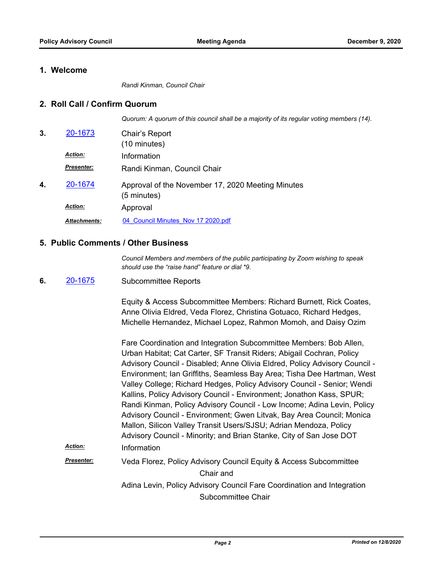#### **1. Welcome**

*Randi Kinman, Council Chair*

#### **2. Roll Call / Confirm Quorum**

*Quorum: A quorum of this council shall be a majority of its regular voting members (14).*

| 3. | 20-1673             | Chair's Report<br>(10 minutes)                                   |
|----|---------------------|------------------------------------------------------------------|
|    | <b>Action:</b>      | Information                                                      |
|    | <b>Presenter:</b>   | Randi Kinman, Council Chair                                      |
| 4. | 20-1674             | Approval of the November 17, 2020 Meeting Minutes<br>(5 minutes) |
|    | <b>Action:</b>      | Approval                                                         |
|    | <b>Attachments:</b> | 04 Council Minutes Nov 17 2020.pdf                               |

#### **5. Public Comments / Other Business**

*Council Members and members of the public participating by Zoom wishing to speak should use the "raise hand" feature or dial \*9.*

Subcommittee Reports **6.** [20-1675](http://mtc.legistar.com/gateway.aspx?m=l&id=/matter.aspx?key=21540)

> Equity & Access Subcommittee Members: Richard Burnett, Rick Coates, Anne Olivia Eldred, Veda Florez, Christina Gotuaco, Richard Hedges, Michelle Hernandez, Michael Lopez, Rahmon Momoh, and Daisy Ozim

Fare Coordination and Integration Subcommittee Members: Bob Allen, Urban Habitat; Cat Carter, SF Transit Riders; Abigail Cochran, Policy Advisory Council - Disabled; Anne Olivia Eldred, Policy Advisory Council - Environment; Ian Griffiths, Seamless Bay Area; Tisha Dee Hartman, West Valley College; Richard Hedges, Policy Advisory Council - Senior; Wendi Kallins, Policy Advisory Council - Environment; Jonathon Kass, SPUR; Randi Kinman, Policy Advisory Council - Low Income; Adina Levin, Policy Advisory Council - Environment; Gwen Litvak, Bay Area Council; Monica Mallon, Silicon Valley Transit Users/SJSU; Adrian Mendoza, Policy Advisory Council - Minority; and Brian Stanke, City of San Jose DOT *Action:* Information Veda Florez, Policy Advisory Council Equity & Access Subcommittee Chair and Adina Levin, Policy Advisory Council Fare Coordination and Integration Subcommittee Chair *Presenter:*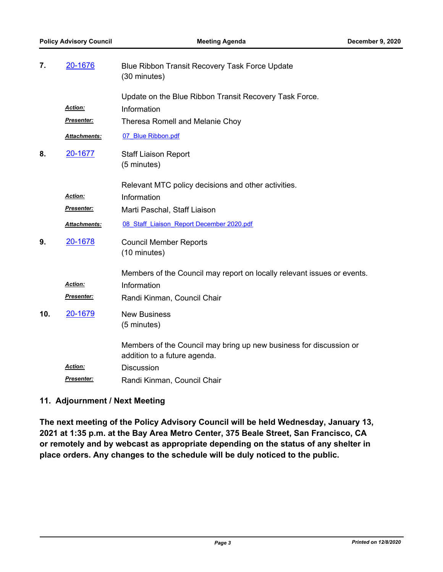| 7.  | 20-1676             | Blue Ribbon Transit Recovery Task Force Update<br>(30 minutes)                                     |
|-----|---------------------|----------------------------------------------------------------------------------------------------|
|     |                     | Update on the Blue Ribbon Transit Recovery Task Force.                                             |
|     | Action:             | Information                                                                                        |
|     | <b>Presenter:</b>   | Theresa Romell and Melanie Choy                                                                    |
|     | Attachments:        | 07 Blue Ribbon.pdf                                                                                 |
| 8.  | 20-1677             | <b>Staff Liaison Report</b>                                                                        |
|     |                     | (5 minutes)                                                                                        |
|     |                     | Relevant MTC policy decisions and other activities.                                                |
|     | Action:             | Information                                                                                        |
|     | Presenter:          | Marti Paschal, Staff Liaison                                                                       |
|     | <b>Attachments:</b> | 08 Staff Liaison Report December 2020.pdf                                                          |
| 9.  | 20-1678             | <b>Council Member Reports</b>                                                                      |
|     |                     | (10 minutes)                                                                                       |
|     |                     | Members of the Council may report on locally relevant issues or events.                            |
|     | Action:             | Information                                                                                        |
|     | Presenter:          | Randi Kinman, Council Chair                                                                        |
| 10. | 20-1679             | <b>New Business</b>                                                                                |
|     |                     | (5 minutes)                                                                                        |
|     |                     | Members of the Council may bring up new business for discussion or<br>addition to a future agenda. |
|     | <u>Action:</u>      | <b>Discussion</b>                                                                                  |
|     | <b>Presenter:</b>   |                                                                                                    |
|     |                     | Randi Kinman, Council Chair                                                                        |

### **11. Adjournment / Next Meeting**

**The next meeting of the Policy Advisory Council will be held Wednesday, January 13, 2021 at 1:35 p.m. at the Bay Area Metro Center, 375 Beale Street, San Francisco, CA or remotely and by webcast as appropriate depending on the status of any shelter in place orders. Any changes to the schedule will be duly noticed to the public.**